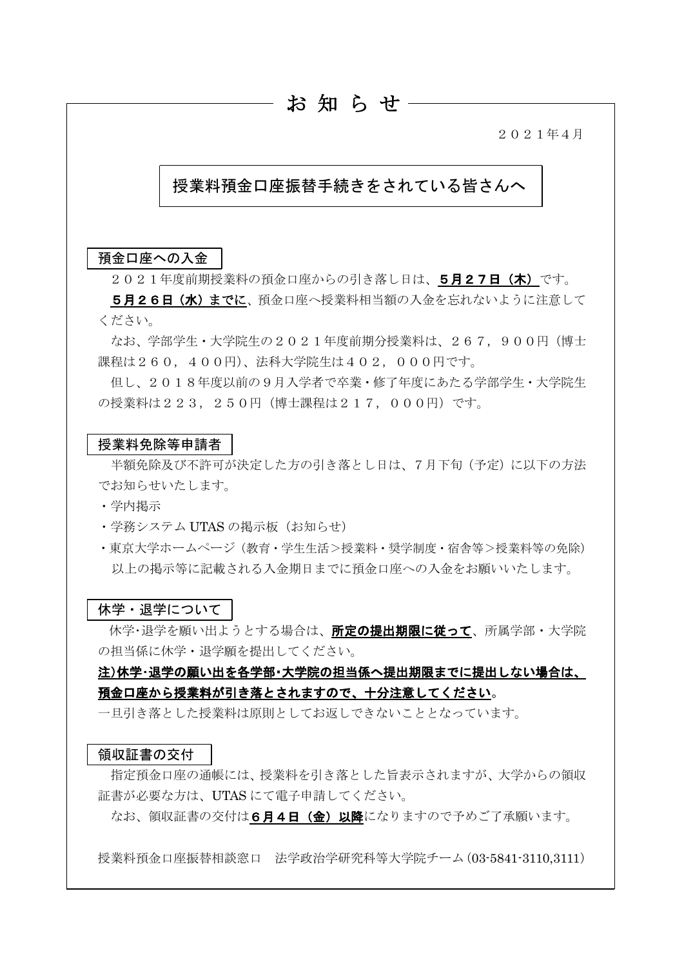